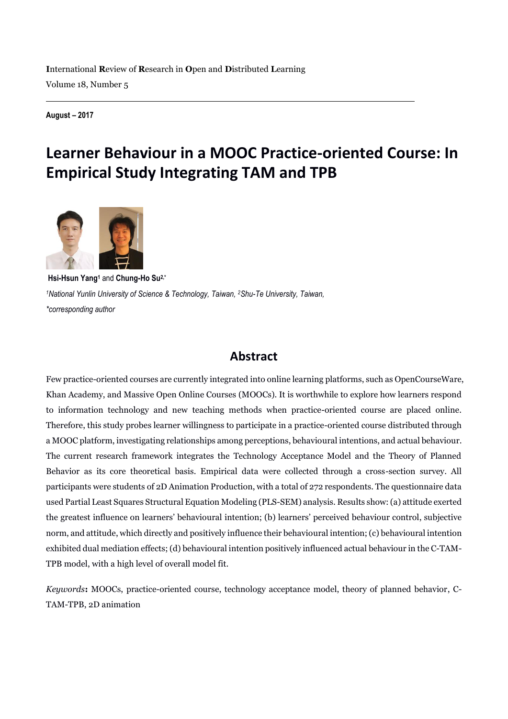**August – 2017**

# **Learner Behaviour in a MOOC Practice-oriented Course: In Empirical Study Integrating TAM and TPB**



**Hsi-Hsun Yang<sup>1</sup>** and **Chung-Ho Su2,\*** *<sup>1</sup>National Yunlin University of Science & Technology, Taiwan, 2Shu-Te University, Taiwan, \*corresponding author*

# **Abstract**

Few practice-oriented courses are currently integrated into online learning platforms, such as OpenCourseWare, Khan Academy, and Massive Open Online Courses (MOOCs). It is worthwhile to explore how learners respond to information technology and new teaching methods when practice-oriented course are placed online. Therefore, this study probes learner willingness to participate in a practice-oriented course distributed through a MOOC platform, investigating relationships among perceptions, behavioural intentions, and actual behaviour. The current research framework integrates the Technology Acceptance Model and the Theory of Planned Behavior as its core theoretical basis. Empirical data were collected through a cross-section survey. All participants were students of 2D Animation Production, with a total of 272 respondents. The questionnaire data used Partial Least Squares Structural Equation Modeling (PLS-SEM) analysis. Results show: (a) attitude exerted the greatest influence on learners' behavioural intention; (b) learners' perceived behaviour control, subjective norm, and attitude, which directly and positively influence their behavioural intention; (c) behavioural intention exhibited dual mediation effects; (d) behavioural intention positively influenced actual behaviour in the C-TAM-TPB model, with a high level of overall model fit.

*Keywords***:** MOOCs, practice-oriented course, technology acceptance model, theory of planned behavior, C-TAM-TPB, 2D animation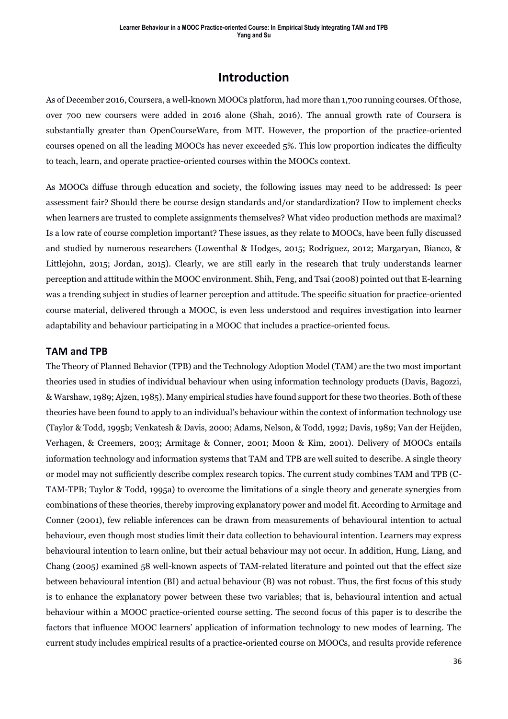# **Introduction**

As of December 2016, Coursera, a well-known MOOCs platform, had more than 1,700 running courses. Of those, over 700 new coursers were added in 2016 alone (Shah, 2016). The annual growth rate of Coursera is substantially greater than OpenCourseWare, from MIT. However, the proportion of the practice-oriented courses opened on all the leading MOOCs has never exceeded 5%. This low proportion indicates the difficulty to teach, learn, and operate practice-oriented courses within the MOOCs context.

As MOOCs diffuse through education and society, the following issues may need to be addressed: Is peer assessment fair? Should there be course design standards and/or standardization? How to implement checks when learners are trusted to complete assignments themselves? What video production methods are maximal? Is a low rate of course completion important? These issues, as they relate to MOOCs, have been fully discussed and studied by numerous researchers (Lowenthal & Hodges, 2015; Rodriguez, 2012; Margaryan, Bianco, & Littlejohn, 2015; Jordan, 2015). Clearly, we are still early in the research that truly understands learner perception and attitude within the MOOC environment. Shih, Feng, and Tsai (2008) pointed out that E-learning was a trending subject in studies of learner perception and attitude. The specific situation for practice-oriented course material, delivered through a MOOC, is even less understood and requires investigation into learner adaptability and behaviour participating in a MOOC that includes a practice-oriented focus.

#### **TAM and TPB**

The Theory of Planned Behavior (TPB) and the Technology Adoption Model (TAM) are the two most important theories used in studies of individual behaviour when using information technology products (Davis, Bagozzi, & Warshaw, 1989; Ajzen, 1985). Many empirical studies have found support for these two theories. Both of these theories have been found to apply to an individual's behaviour within the context of information technology use (Taylor & Todd, 1995b; Venkatesh & Davis, 2000; Adams, Nelson, & Todd, 1992; Davis, 1989; Van der Heijden, Verhagen, & Creemers, 2003; Armitage & Conner, 2001; Moon & Kim, 2001). Delivery of MOOCs entails information technology and information systems that TAM and TPB are well suited to describe. A single theory or model may not sufficiently describe complex research topics. The current study combines TAM and TPB (C-TAM-TPB; Taylor & Todd, 1995a) to overcome the limitations of a single theory and generate synergies from combinations of these theories, thereby improving explanatory power and model fit. According to Armitage and Conner (2001), few reliable inferences can be drawn from measurements of behavioural intention to actual behaviour, even though most studies limit their data collection to behavioural intention. Learners may express behavioural intention to learn online, but their actual behaviour may not occur. In addition, Hung, Liang, and Chang (2005) examined 58 well-known aspects of TAM-related literature and pointed out that the effect size between behavioural intention (BI) and actual behaviour (B) was not robust. Thus, the first focus of this study is to enhance the explanatory power between these two variables; that is, behavioural intention and actual behaviour within a MOOC practice-oriented course setting. The second focus of this paper is to describe the factors that influence MOOC learners' application of information technology to new modes of learning. The current study includes empirical results of a practice-oriented course on MOOCs, and results provide reference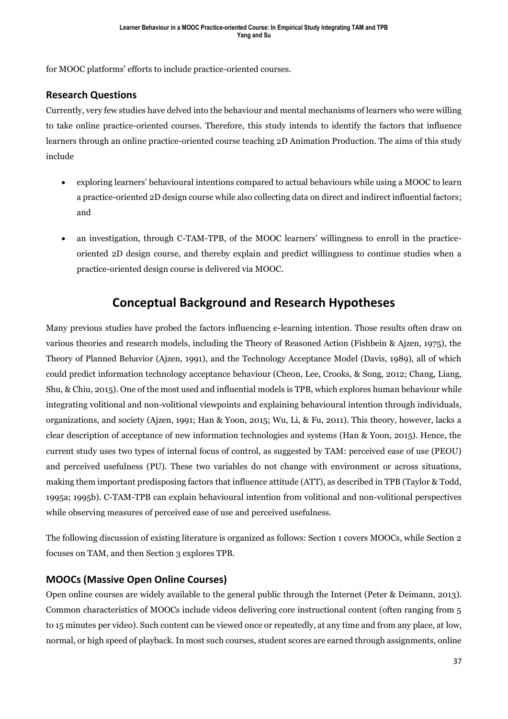for MOOC platforms' efforts to include practice-oriented courses.

#### **Research Questions**

Currently, very few studies have delved into the behaviour and mental mechanisms of learners who were willing to take online practice-oriented courses. Therefore, this study intends to identify the factors that influence learners through an online practice-oriented course teaching 2D Animation Production. The aims of this study include

- exploring learners' behavioural intentions compared to actual behaviours while using a MOOC to learn a practice-oriented 2D design course while also collecting data on direct and indirect influential factors; and
- an investigation, through C-TAM-TPB, of the MOOC learners' willingness to enroll in the practiceoriented 2D design course, and thereby explain and predict willingness to continue studies when a practice-oriented design course is delivered via MOOC.

# **Conceptual Background and Research Hypotheses**

Many previous studies have probed the factors influencing e-learning intention. Those results often draw on various theories and research models, including the Theory of Reasoned Action (Fishbein & Ajzen, 1975), the Theory of Planned Behavior (Ajzen, 1991), and the Technology Acceptance Model (Davis, 1989), all of which could predict information technology acceptance behaviour (Cheon, Lee, Crooks, & Song, 2012; Chang, Liang, Shu, & Chiu, 2015). One of the most used and influential models is TPB, which explores human behaviour while integrating volitional and non-volitional viewpoints and explaining behavioural intention through individuals, organizations, and society (Ajzen, 1991; Han & Yoon, 2015; Wu, Li, & Fu, 2011). This theory, however, lacks a clear description of acceptance of new information technologies and systems (Han & Yoon, 2015). Hence, the current study uses two types of internal focus of control, as suggested by TAM: perceived ease of use (PEOU) and perceived usefulness (PU). These two variables do not change with environment or across situations, making them important predisposing factors that influence attitude (ATT), as described in TPB (Taylor & Todd, 1995a; 1995b). C-TAM-TPB can explain behavioural intention from volitional and non-volitional perspectives while observing measures of perceived ease of use and perceived usefulness.

The following discussion of existing literature is organized as follows: Section 1 covers MOOCs, while Section 2 focuses on TAM, and then Section 3 explores TPB.

#### **MOOCs (Massive Open Online Courses)**

Open online courses are widely available to the general public through the Internet (Peter & Deimann, 2013). Common characteristics of MOOCs include videos delivering core instructional content (often ranging from 5 to 15 minutes per video). Such content can be viewed once or repeatedly, at any time and from any place, at low, normal, or high speed of playback. In most such courses, student scores are earned through assignments, online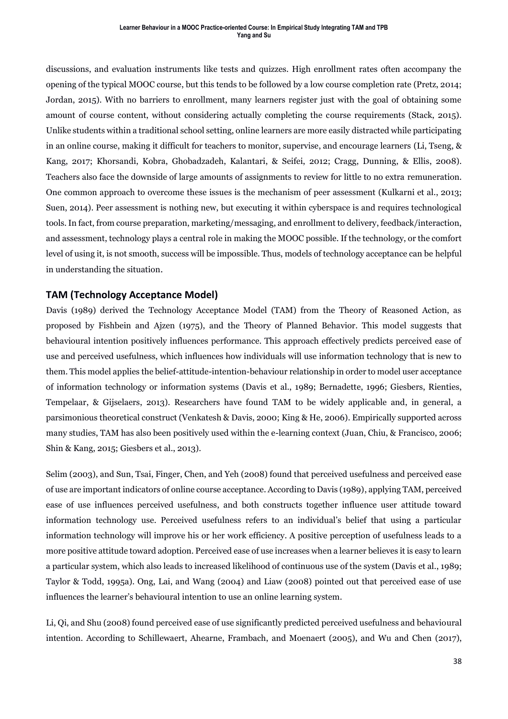discussions, and evaluation instruments like tests and quizzes. High enrollment rates often accompany the opening of the typical MOOC course, but this tends to be followed by a low course completion rate (Pretz, 2014; Jordan, 2015). With no barriers to enrollment, many learners register just with the goal of obtaining some amount of course content, without considering actually completing the course requirements (Stack, 2015). Unlike students within a traditional school setting, online learners are more easily distracted while participating in an online course, making it difficult for teachers to monitor, supervise, and encourage learners (Li, Tseng, & Kang, 2017; Khorsandi, Kobra, Ghobadzadeh, Kalantari, & Seifei, 2012; Cragg, Dunning, & Ellis, 2008). Teachers also face the downside of large amounts of assignments to review for little to no extra remuneration. One common approach to overcome these issues is the mechanism of peer assessment (Kulkarni et al., 2013; Suen, 2014). Peer assessment is nothing new, but executing it within cyberspace is and requires technological tools. In fact, from course preparation, marketing/messaging, and enrollment to delivery, feedback/interaction, and assessment, technology plays a central role in making the MOOC possible. If the technology, or the comfort level of using it, is not smooth, success will be impossible. Thus, models of technology acceptance can be helpful in understanding the situation.

#### **TAM (Technology Acceptance Model)**

Davis (1989) derived the Technology Acceptance Model (TAM) from the Theory of Reasoned Action, as proposed by Fishbein and Ajzen (1975), and the Theory of Planned Behavior. This model suggests that behavioural intention positively influences performance. This approach effectively predicts perceived ease of use and perceived usefulness, which influences how individuals will use information technology that is new to them. This model applies the belief-attitude-intention-behaviour relationship in order to model user acceptance of information technology or information systems (Davis et al., 1989; Bernadette, 1996; Giesbers, Rienties, Tempelaar, & Gijselaers, 2013). Researchers have found TAM to be widely applicable and, in general, a parsimonious theoretical construct (Venkatesh & Davis, 2000; King & He, 2006). Empirically supported across many studies, TAM has also been positively used within the e-learning context (Juan, Chiu, & Francisco, 2006; Shin & Kang, 2015; Giesbers et al., 2013).

Selim (2003), and Sun, Tsai, Finger, Chen, and Yeh (2008) found that perceived usefulness and perceived ease of use are important indicators of online course acceptance. According to Davis (1989), applying TAM, perceived ease of use influences perceived usefulness, and both constructs together influence user attitude toward information technology use. Perceived usefulness refers to an individual's belief that using a particular information technology will improve his or her work efficiency. A positive perception of usefulness leads to a more positive attitude toward adoption. Perceived ease of use increases when a learner believes it is easy to learn a particular system, which also leads to increased likelihood of continuous use of the system (Davis et al., 1989; Taylor & Todd, 1995a). Ong, Lai, and Wang (2004) and Liaw (2008) pointed out that perceived ease of use influences the learner's behavioural intention to use an online learning system.

Li, Qi, and Shu (2008) found perceived ease of use significantly predicted perceived usefulness and behavioural intention. According to Schillewaert, Ahearne, Frambach, and Moenaert (2005), and Wu and Chen (2017),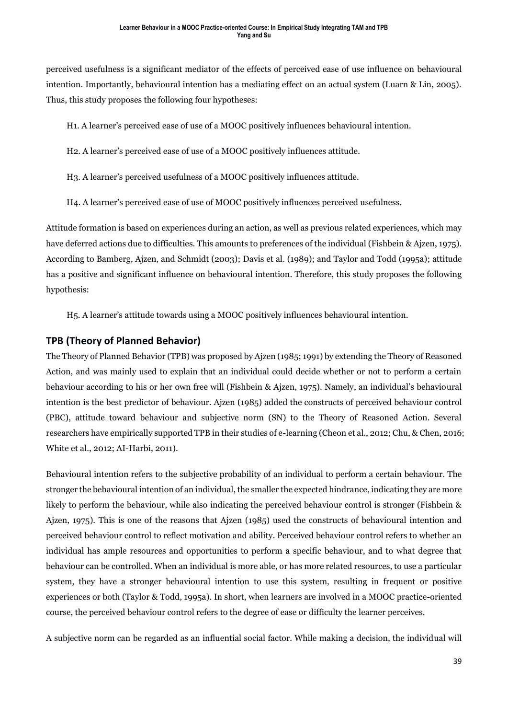perceived usefulness is a significant mediator of the effects of perceived ease of use influence on behavioural intention. Importantly, behavioural intention has a mediating effect on an actual system (Luarn & Lin, 2005). Thus, this study proposes the following four hypotheses:

H1. A learner's perceived ease of use of a MOOC positively influences behavioural intention.

H2. A learner's perceived ease of use of a MOOC positively influences attitude.

H3. A learner's perceived usefulness of a MOOC positively influences attitude.

H4. A learner's perceived ease of use of MOOC positively influences perceived usefulness.

Attitude formation is based on experiences during an action, as well as previous related experiences, which may have deferred actions due to difficulties. This amounts to preferences of the individual (Fishbein & Ajzen, 1975). According to Bamberg, Ajzen, and Schmidt (2003); Davis et al. (1989); and Taylor and Todd (1995a); attitude has a positive and significant influence on behavioural intention. Therefore, this study proposes the following hypothesis:

H5. A learner's attitude towards using a MOOC positively influences behavioural intention.

#### **TPB (Theory of Planned Behavior)**

The Theory of Planned Behavior (TPB) was proposed by Ajzen (1985; 1991) by extending the Theory of Reasoned Action, and was mainly used to explain that an individual could decide whether or not to perform a certain behaviour according to his or her own free will (Fishbein & Ajzen, 1975). Namely, an individual's behavioural intention is the best predictor of behaviour. Ajzen (1985) added the constructs of perceived behaviour control (PBC), attitude toward behaviour and subjective norm (SN) to the Theory of Reasoned Action. Several researchers have empirically supported TPB in their studies of e-learning (Cheon et al., 2012; Chu, & Chen, 2016; White et al., 2012; AI-Harbi, 2011).

Behavioural intention refers to the subjective probability of an individual to perform a certain behaviour. The stronger the behavioural intention of an individual, the smaller the expected hindrance, indicating they are more likely to perform the behaviour, while also indicating the perceived behaviour control is stronger (Fishbein & Ajzen, 1975). This is one of the reasons that Ajzen (1985) used the constructs of behavioural intention and perceived behaviour control to reflect motivation and ability. Perceived behaviour control refers to whether an individual has ample resources and opportunities to perform a specific behaviour, and to what degree that behaviour can be controlled. When an individual is more able, or has more related resources, to use a particular system, they have a stronger behavioural intention to use this system, resulting in frequent or positive experiences or both (Taylor & Todd, 1995a). In short, when learners are involved in a MOOC practice-oriented course, the perceived behaviour control refers to the degree of ease or difficulty the learner perceives.

A subjective norm can be regarded as an influential social factor. While making a decision, the individual will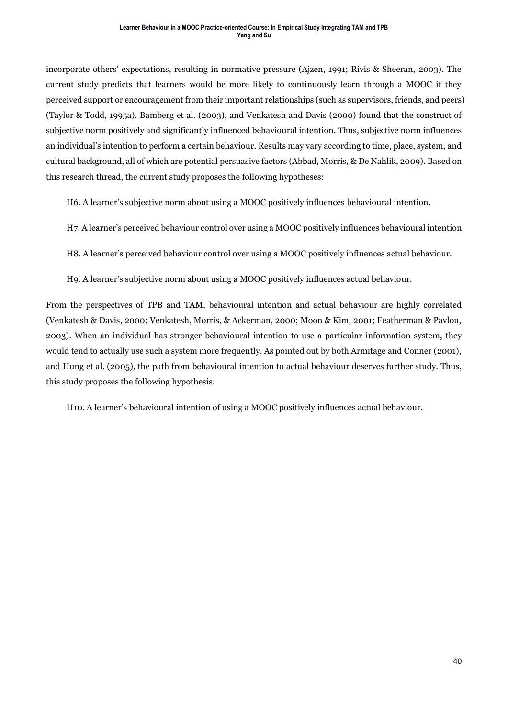incorporate others' expectations, resulting in normative pressure (Ajzen, 1991; Rivis & Sheeran, 2003). The current study predicts that learners would be more likely to continuously learn through a MOOC if they perceived support or encouragement from their important relationships (such as supervisors, friends, and peers) (Taylor & Todd, 1995a). Bamberg et al. (2003), and Venkatesh and Davis (2000) found that the construct of subjective norm positively and significantly influenced behavioural intention. Thus, subjective norm influences an individual's intention to perform a certain behaviour. Results may vary according to time, place, system, and cultural background, all of which are potential persuasive factors (Abbad, Morris, & De Nahlik, 2009). Based on this research thread, the current study proposes the following hypotheses:

H6. A learner's subjective norm about using a MOOC positively influences behavioural intention.

H7. A learner's perceived behaviour control over using a MOOC positively influences behavioural intention.

H8. A learner's perceived behaviour control over using a MOOC positively influences actual behaviour.

H9. A learner's subjective norm about using a MOOC positively influences actual behaviour.

From the perspectives of TPB and TAM, behavioural intention and actual behaviour are highly correlated (Venkatesh & Davis, 2000; Venkatesh, Morris, & Ackerman, 2000; Moon & Kim, 2001; Featherman & Pavlou, 2003). When an individual has stronger behavioural intention to use a particular information system, they would tend to actually use such a system more frequently. As pointed out by both Armitage and Conner (2001), and Hung et al. (2005), the path from behavioural intention to actual behaviour deserves further study. Thus, this study proposes the following hypothesis:

H10. A learner's behavioural intention of using a MOOC positively influences actual behaviour.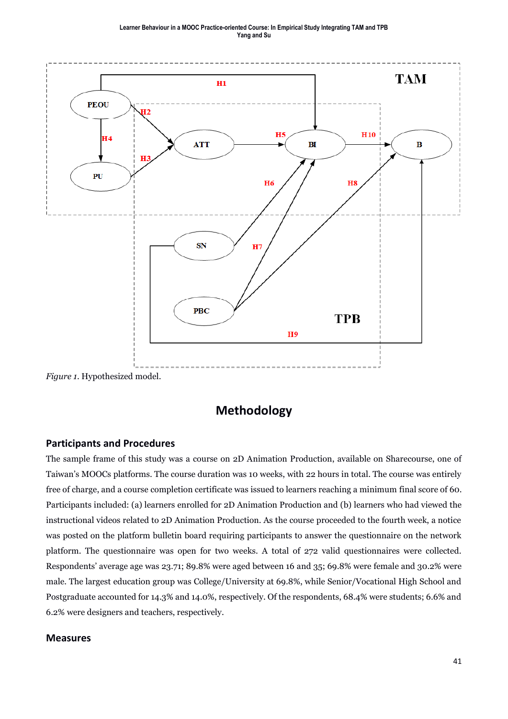

*Figure 1*. Hypothesized model.

# **Methodology**

### **Participants and Procedures**

The sample frame of this study was a course on 2D Animation Production, available on Sharecourse, one of Taiwan's MOOCs platforms. The course duration was 10 weeks, with 22 hours in total. The course was entirely free of charge, and a course completion certificate was issued to learners reaching a minimum final score of 60. Participants included: (a) learners enrolled for 2D Animation Production and (b) learners who had viewed the instructional videos related to 2D Animation Production. As the course proceeded to the fourth week, a notice was posted on the platform bulletin board requiring participants to answer the questionnaire on the network platform. The questionnaire was open for two weeks. A total of 272 valid questionnaires were collected. Respondents' average age was 23.71; 89.8% were aged between 16 and 35; 69.8% were female and 30.2% were male. The largest education group was College/University at 69.8%, while Senior/Vocational High School and Postgraduate accounted for 14.3% and 14.0%, respectively. Of the respondents, 68.4% were students; 6.6% and 6.2% were designers and teachers, respectively.

#### **Measures**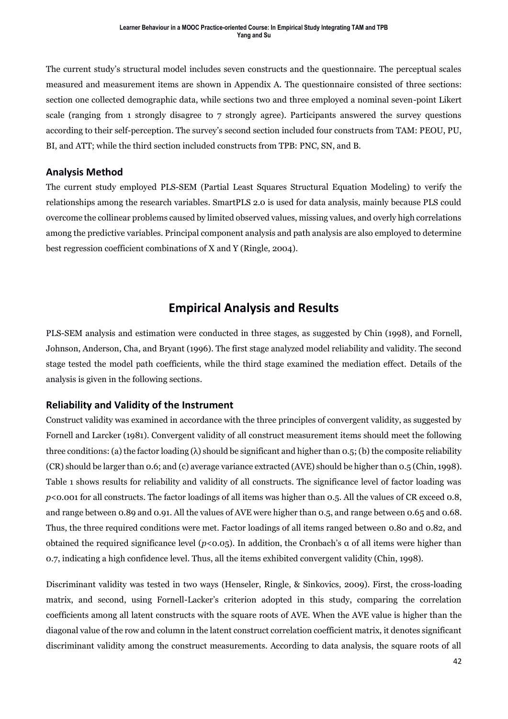The current study's structural model includes seven constructs and the questionnaire. The perceptual scales measured and measurement items are shown in Appendix A. The questionnaire consisted of three sections: section one collected demographic data, while sections two and three employed a nominal seven-point Likert scale (ranging from 1 strongly disagree to 7 strongly agree). Participants answered the survey questions according to their self-perception. The survey's second section included four constructs from TAM: PEOU, PU, BI, and ATT; while the third section included constructs from TPB: PNC, SN, and B.

#### **Analysis Method**

The current study employed PLS-SEM (Partial Least Squares Structural Equation Modeling) to verify the relationships among the research variables. SmartPLS 2.0 is used for data analysis, mainly because PLS could overcome the collinear problems caused by limited observed values, missing values, and overly high correlations among the predictive variables. Principal component analysis and path analysis are also employed to determine best regression coefficient combinations of X and Y (Ringle, 2004).

# **Empirical Analysis and Results**

PLS-SEM analysis and estimation were conducted in three stages, as suggested by Chin (1998), and Fornell, Johnson, Anderson, Cha, and Bryant (1996). The first stage analyzed model reliability and validity. The second stage tested the model path coefficients, while the third stage examined the mediation effect. Details of the analysis is given in the following sections.

### **Reliability and Validity of the Instrument**

Construct validity was examined in accordance with the three principles of convergent validity, as suggested by Fornell and Larcker (1981). Convergent validity of all construct measurement items should meet the following three conditions: (a) the factor loading ( $\lambda$ ) should be significant and higher than 0.5; (b) the composite reliability (CR) should be larger than 0.6; and (c) average variance extracted (AVE) should be higher than 0.5 (Chin, 1998). Table 1 shows results for reliability and validity of all constructs. The significance level of factor loading was *p*<0.001 for all constructs. The factor loadings of all items was higher than 0.5. All the values of CR exceed 0.8, and range between 0.89 and 0.91. All the values of AVE were higher than 0.5, and range between 0.65 and 0.68. Thus, the three required conditions were met. Factor loadings of all items ranged between 0.80 and 0.82, and obtained the required significance level (*p*<0.05). In addition, the Cronbach's α of all items were higher than 0.7, indicating a high confidence level. Thus, all the items exhibited convergent validity (Chin, 1998).

Discriminant validity was tested in two ways (Henseler, Ringle, & Sinkovics, 2009). First, the cross-loading matrix, and second, using Fornell-Lacker's criterion adopted in this study, comparing the correlation coefficients among all latent constructs with the square roots of AVE. When the AVE value is higher than the diagonal value of the row and column in the latent construct correlation coefficient matrix, it denotes significant discriminant validity among the construct measurements. According to data analysis, the square roots of all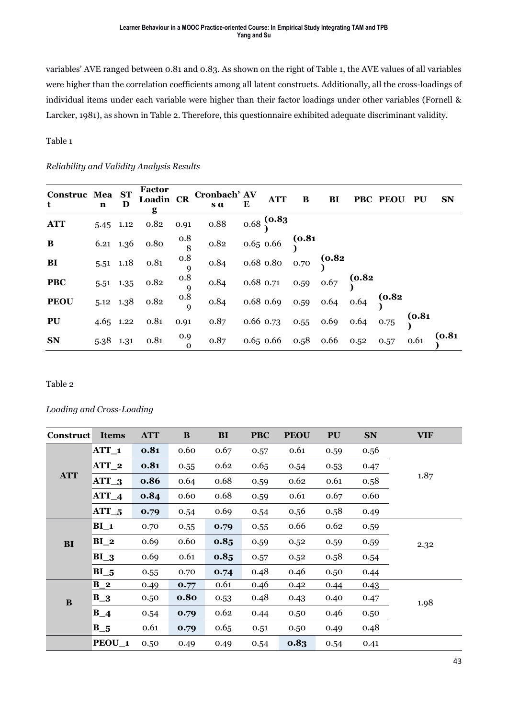variables' AVE ranged between 0.81 and 0.83. As shown on the right of Table 1, the AVE values of all variables were higher than the correlation coefficients among all latent constructs. Additionally, all the cross-loadings of individual items under each variable were higher than their factor loadings under other variables (Fornell & Larcker, 1981), as shown in Table 2. Therefore, this questionnaire exhibited adequate discriminant validity.

#### Table 1

#### *Reliability and Validity Analysis Results*

| Construc Mea ST | $\mathbf n$ | D | Factor         |                         | Eactor CR Cronbach' AV S $\alpha$ E                                                                                              |  |  | ATT B BI PBC PEOU | PU     | <b>SN</b> |
|-----------------|-------------|---|----------------|-------------------------|----------------------------------------------------------------------------------------------------------------------------------|--|--|-------------------|--------|-----------|
| <b>ATT</b>      |             |   |                |                         | 5.45 1.12 0.82 0.91 0.88 0.68 $(0.83)$                                                                                           |  |  |                   |        |           |
| $\mathbf{B}$    |             |   |                |                         | 6.21 1.36 0.80 $\begin{matrix} 0.8 \\ 8 \end{matrix}$ 0.82 0.65 0.66 $\begin{matrix} (0.81) \\ (0.81) \end{matrix}$              |  |  |                   |        |           |
| BI              |             |   |                |                         | 5.51 1.18 0.81 $\begin{matrix} 0.8 \\ 9 \end{matrix}$ 0.84 0.68 0.80 0.70 $(0.82)$                                               |  |  |                   |        |           |
| <b>PBC</b>      |             |   | 5.51 1.35 0.82 |                         | $\frac{0.8}{9}$ 0.84 0.68 0.71 0.59 0.67 (0.82                                                                                   |  |  |                   |        |           |
| <b>PEOU</b>     |             |   |                |                         | 5.12 1.38 0.82 $\begin{matrix} 0.8 \\ 0.84 \end{matrix}$ 0.68 0.69 0.59 0.64 0.64 $\begin{matrix} (0.82) \\ (0.82) \end{matrix}$ |  |  |                   |        |           |
| $\bf{PU}$       |             |   |                |                         | 4.65 1.22 0.81 0.91 0.87 0.66 0.73 0.55 0.69 0.64 0.75                                                                           |  |  |                   | (0.81) |           |
| <b>SN</b>       |             |   | 5.38 1.31 0.81 | $\overline{\mathbf{O}}$ | $\begin{bmatrix} 0.9 & 0.87 & 0.65 & 0.66 & 0.58 & 0.66 & 0.52 & 0.57 & 0.61 \end{bmatrix}$ (0.81                                |  |  |                   |        |           |

Table 2

#### *Loading and Cross-Loading*

| <b>Construct</b> | <b>Items</b> | <b>ATT</b> | $\, {\bf B}$ | B <sub>I</sub> | <b>PBC</b> | <b>PEOU</b> | PU   | <b>SN</b> | <b>VIF</b> |
|------------------|--------------|------------|--------------|----------------|------------|-------------|------|-----------|------------|
| <b>ATT</b>       | $ATT_1$      | 0.81       | 0.60         | 0.67           | 0.57       | 0.61        | 0.59 | 0.56      |            |
|                  | $ATT_2$      | 0.81       | 0.55         | 0.62           | 0.65       | 0.54        | 0.53 | 0.47      |            |
|                  | $ATT_3$      | 0.86       | 0.64         | 0.68           | 0.59       | 0.62        | 0.61 | 0.58      | 1.87       |
|                  | $ATT_4$      | 0.84       | 0.60         | 0.68           | 0.59       | 0.61        | 0.67 | 0.60      |            |
|                  | $ATT_{5}$    | 0.79       | 0.54         | 0.69           | 0.54       | 0.56        | 0.58 | 0.49      |            |
|                  | $BI_1$       | 0.70       | 0.55         | 0.79           | 0.55       | 0.66        | 0.62 | 0.59      |            |
| <b>BI</b>        | $BI_2$       | 0.69       | 0.60         | 0.85           | 0.59       | 0.52        | 0.59 | 0.59      | 2.32       |
|                  | $BI_{-3}$    | 0.69       | 0.61         | 0.85           | 0.57       | 0.52        | 0.58 | 0.54      |            |
|                  | $BI_{-5}$    | 0.55       | 0.70         | 0.74           | 0.48       | 0.46        | 0.50 | 0.44      |            |
|                  | $B_2$        | 0.49       | 0.77         | 0.61           | 0.46       | 0.42        | 0.44 | 0.43      |            |
| $\bf{B}$         | $B_{-3}$     | 0.50       | 0.80         | 0.53           | 0.48       | 0.43        | 0.40 | 0.47      | 1.98       |
|                  | $B_4$        | 0.54       | 0.79         | 0.62           | 0.44       | 0.50        | 0.46 | 0.50      |            |
|                  | $B_{-5}$     | 0.61       | 0.79         | 0.65           | 0.51       | 0.50        | 0.49 | 0.48      |            |
|                  | $PEOU_1$     | 0.50       | 0.49         | 0.49           | 0.54       | 0.83        | 0.54 | 0.41      |            |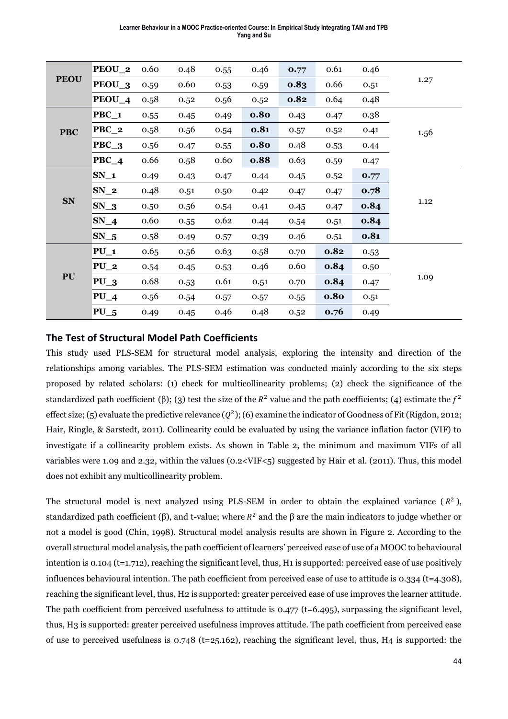|             | PEOU_2     | 0.60 | 0.48 | 0.55 | 0.46 | 0.77 | 0.61 | 0.46 |      |
|-------------|------------|------|------|------|------|------|------|------|------|
| <b>PEOU</b> | PEOU_3     | 0.59 | 0.60 | 0.53 | 0.59 | 0.83 | 0.66 | 0.51 | 1.27 |
|             | PEOU_4     | 0.58 | 0.52 | 0.56 | 0.52 | 0.82 | 0.64 | 0.48 |      |
|             | $PBC_1$    | 0.55 | 0.45 | 0.49 | 0.80 | 0.43 | 0.47 | 0.38 |      |
| <b>PBC</b>  | $PBC_2$    | 0.58 | 0.56 | 0.54 | 0.81 | 0.57 | 0.52 | 0.41 | 1.56 |
|             | $PBC_{-3}$ | 0.56 | 0.47 | 0.55 | 0.80 | 0.48 | 0.53 | 0.44 |      |
|             | $PBC_4$    | 0.66 | 0.58 | 0.60 | 0.88 | 0.63 | 0.59 | 0.47 |      |
|             | $SN_1$     | 0.49 | 0.43 | 0.47 | 0.44 | 0.45 | 0.52 | 0.77 |      |
| SN          | $SN_2$     | 0.48 | 0.51 | 0.50 | 0.42 | 0.47 | 0.47 | 0.78 |      |
|             | $SN_{-3}$  | 0.50 | 0.56 | 0.54 | 0.41 | 0.45 | 0.47 | 0.84 | 1.12 |
|             | $SN_4$     | 0.60 | 0.55 | 0.62 | 0.44 | 0.54 | 0.51 | 0.84 |      |
|             | $SN_{-5}$  | 0.58 | 0.49 | 0.57 | 0.39 | 0.46 | 0.51 | 0.81 |      |
|             | $PU_1$     | 0.65 | 0.56 | 0.63 | 0.58 | 0.70 | 0.82 | 0.53 |      |
| PU          | $PU_2$     | 0.54 | 0.45 | 0.53 | 0.46 | 0.60 | 0.84 | 0.50 |      |
|             | $PU_{-3}$  | 0.68 | 0.53 | 0.61 | 0.51 | 0.70 | 0.84 | 0.47 | 1.09 |
|             | $PU_4$     | 0.56 | 0.54 | 0.57 | 0.57 | 0.55 | 0.80 | 0.51 |      |
|             | $PU_{-5}$  | 0.49 | 0.45 | 0.46 | 0.48 | 0.52 | 0.76 | 0.49 |      |

#### **Learner Behaviour in a MOOC Practice-oriented Course: In Empirical Study Integrating TAM and TPB Yang and Su**

### **The Test of Structural Model Path Coefficients**

This study used PLS-SEM for structural model analysis, exploring the intensity and direction of the relationships among variables. The PLS-SEM estimation was conducted mainly according to the six steps proposed by related scholars: (1) check for multicollinearity problems; (2) check the significance of the standardized path coefficient (β); (3) test the size of the  $R^2$  value and the path coefficients; (4) estimate the  $f^2$ effect size; (5) evaluate the predictive relevance  $(Q^2)$ ; (6) examine the indicator of Goodness of Fit (Rigdon, 2012; Hair, Ringle, & Sarstedt, 2011). Collinearity could be evaluated by using the variance inflation factor (VIF) to investigate if a collinearity problem exists. As shown in Table 2, the minimum and maximum VIFs of all variables were 1.09 and 2.32, within the values (0.2<VIF<5) suggested by Hair et al. (2011). Thus, this model does not exhibit any multicollinearity problem.

The structural model is next analyzed using PLS-SEM in order to obtain the explained variance  $(R^2)$ , standardized path coefficient (β), and t-value; where  $R^2$  and the β are the main indicators to judge whether or not a model is good (Chin, 1998). Structural model analysis results are shown in Figure 2. According to the overall structural model analysis, the path coefficient of learners' perceived ease of use of a MOOC to behavioural intention is 0.104 (t=1.712), reaching the significant level, thus, H1 is supported: perceived ease of use positively influences behavioural intention. The path coefficient from perceived ease of use to attitude is 0.334 (t=4.308), reaching the significant level, thus, H2 is supported: greater perceived ease of use improves the learner attitude. The path coefficient from perceived usefulness to attitude is  $0.477$  (t=6.495), surpassing the significant level, thus, H3 is supported: greater perceived usefulness improves attitude. The path coefficient from perceived ease of use to perceived usefulness is  $0.748$  (t=25.162), reaching the significant level, thus, H4 is supported: the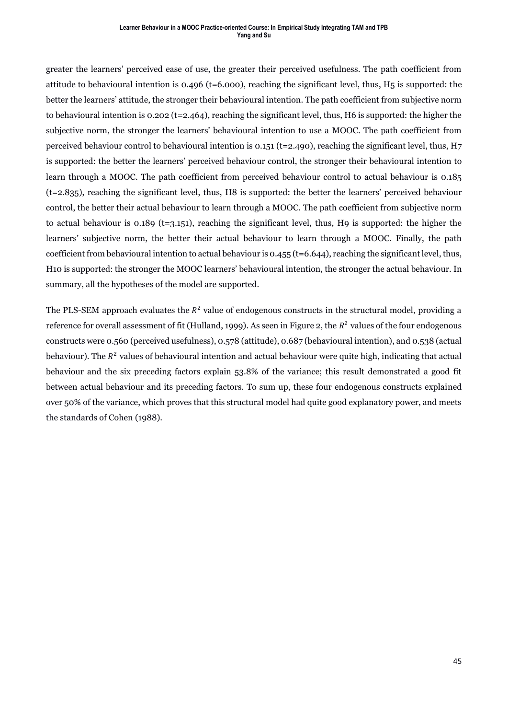greater the learners' perceived ease of use, the greater their perceived usefulness. The path coefficient from attitude to behavioural intention is 0.496 (t=6.000), reaching the significant level, thus, H5 is supported: the better the learners' attitude, the stronger their behavioural intention. The path coefficient from subjective norm to behavioural intention is 0.202 (t=2.464), reaching the significant level, thus, H6 is supported: the higher the subjective norm, the stronger the learners' behavioural intention to use a MOOC. The path coefficient from perceived behaviour control to behavioural intention is 0.151 (t=2.490), reaching the significant level, thus,  $H_7$ is supported: the better the learners' perceived behaviour control, the stronger their behavioural intention to learn through a MOOC. The path coefficient from perceived behaviour control to actual behaviour is 0.185 (t=2.835), reaching the significant level, thus, H8 is supported: the better the learners' perceived behaviour control, the better their actual behaviour to learn through a MOOC. The path coefficient from subjective norm to actual behaviour is 0.189 ( $t=3.151$ ), reaching the significant level, thus, H9 is supported: the higher the learners' subjective norm, the better their actual behaviour to learn through a MOOC. Finally, the path coefficient from behavioural intention to actual behaviour is  $0.455$  (t=6.644), reaching the significant level, thus, H10 is supported: the stronger the MOOC learners' behavioural intention, the stronger the actual behaviour. In summary, all the hypotheses of the model are supported.

The PLS-SEM approach evaluates the  $R^2$  value of endogenous constructs in the structural model, providing a reference for overall assessment of fit (Hulland, 1999). As seen in Figure 2, the  $R^2$  values of the four endogenous constructs were 0.560 (perceived usefulness), 0.578 (attitude), 0.687 (behavioural intention), and 0.538 (actual behaviour). The  $R^2$  values of behavioural intention and actual behaviour were quite high, indicating that actual behaviour and the six preceding factors explain 53.8% of the variance; this result demonstrated a good fit between actual behaviour and its preceding factors. To sum up, these four endogenous constructs explained over 50% of the variance, which proves that this structural model had quite good explanatory power, and meets the standards of Cohen (1988).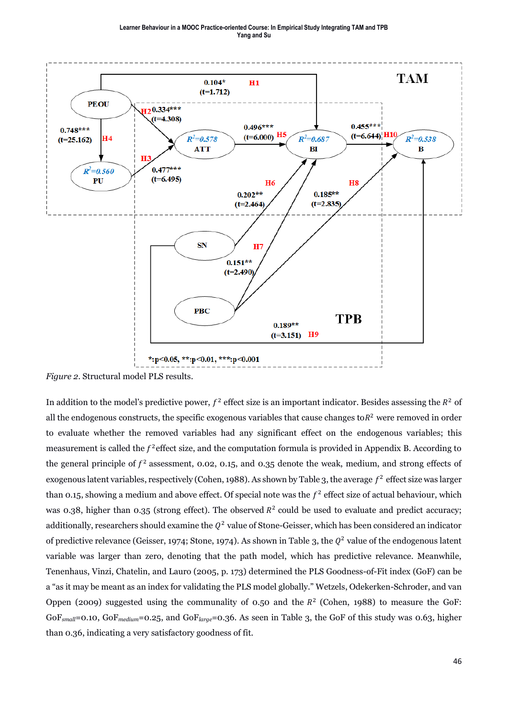

*Figure 2*. Structural model PLS results.

In addition to the model's predictive power,  $f^2$  effect size is an important indicator. Besides assessing the  $R^2$  of all the endogenous constructs, the specific exogenous variables that cause changes to  $R<sup>2</sup>$  were removed in order to evaluate whether the removed variables had any significant effect on the endogenous variables; this measurement is called the  $f^2$  effect size, and the computation formula is provided in Appendix B. According to the general principle of  $f^2$  assessment, 0.02, 0.15, and 0.35 denote the weak, medium, and strong effects of exogenous latent variables, respectively (Cohen, 1988). As shown by Table 3, the average  $f^2$  effect size was larger than 0.15, showing a medium and above effect. Of special note was the  $f^2$  effect size of actual behaviour, which was 0.38, higher than 0.35 (strong effect). The observed  $R^2$  could be used to evaluate and predict accuracy; additionally, researchers should examine the  $Q^2$  value of Stone-Geisser, which has been considered an indicator of predictive relevance (Geisser, 1974; Stone, 1974). As shown in Table 3, the  $Q^2$  value of the endogenous latent variable was larger than zero, denoting that the path model, which has predictive relevance. Meanwhile, Tenenhaus, Vinzi, Chatelin, and Lauro (2005, p. 173) determined the PLS Goodness-of-Fit index (GoF) can be a "as it may be meant as an index for validating the PLS model globally." Wetzels, Odekerken-Schroder, and van Oppen (2009) suggested using the communality of 0.50 and the  $R^2$  (Cohen, 1988) to measure the GoF: GoF*small*=0.10, GoF*medium*=0.25, and GoF*large*=0.36. As seen in Table 3, the GoF of this study was 0.63, higher than 0.36, indicating a very satisfactory goodness of fit.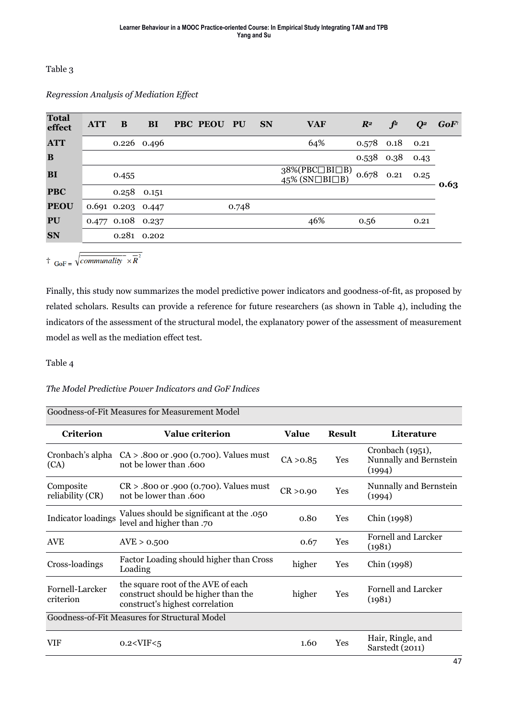#### Table 3

#### *Regression Analysis of Mediation Effect*

| <b>Total</b><br>effect | <b>ATT</b> | B                 | <b>BI</b>     | PBC PEOU PU |       | <b>SN</b> | <b>VAF</b>                     | $\mathbb{R}^2$    | $\mathbf{f}^2$ | $Q^2$ | $GoF^{\dagger}$ |
|------------------------|------------|-------------------|---------------|-------------|-------|-----------|--------------------------------|-------------------|----------------|-------|-----------------|
| <b>ATT</b>             |            |                   | 0.226 0.496   |             |       |           | 64%                            | $0.578$ 0.18 0.21 |                |       |                 |
| $\bf{B}$               |            |                   |               |             |       |           |                                | 0.538 0.38        |                | 0.43  |                 |
| BI                     |            | 0.455             |               |             |       |           | 38%(PBC□BI□B)<br>45% (SN□BI□B) | $0.678$ 0.21 0.25 |                |       | 0.63            |
| <b>PBC</b>             |            | $0.258$ 0.151     |               |             |       |           |                                |                   |                |       |                 |
| <b>PEOU</b>            |            | 0.691 0.203 0.447 |               |             | 0.748 |           |                                |                   |                |       |                 |
| PU                     |            | 0.477 0.108 0.237 |               |             |       |           | 46%                            | 0.56              |                | 0.21  |                 |
| <b>SN</b>              |            |                   | $0.281$ 0.202 |             |       |           |                                |                   |                |       |                 |

 $\tau_{\text{GoF}} = \sqrt{\overline{\overline{\overline{}}}^2} \sqrt{\overline{}}$ 

Finally, this study now summarizes the model predictive power indicators and goodness-of-fit, as proposed by related scholars. Results can provide a reference for future researchers (as shown in Table 4), including the indicators of the assessment of the structural model, the explanatory power of the assessment of measurement model as well as the mediation effect test.

Table 4

#### *The Model Predictive Power Indicators and GoF Indices*

#### Goodness-of-Fit Measures for Measurement Model **Criterion Value criterion Value Result Literature** Cronbach's alpha CA > .800 or .900 (0.700). Values must (CA)  $CA > .000$  Of .900 (0./00). values must  $CA > 0.85$  Yes<br>not be lower than .600 Cronbach (1951), Nunnally and Bernstein (1994) Composite reliability (CR)  $CR > .800$  or .900 (0.700). Values must  $CR > 0.90$  Yes Nunnally and Bernstein (1994) (1994) Indicator loadings Values should be significant at the .050 values should be significant at the .050 0.80 Yes Chin (1998)<br>level and higher than .70 AVE AVE > 0.500 0.67 Yes Fornell and Larcker (1981) Cross-loadings Factor Loading should higher than Cross Loading higher Yes Chin (1998) Fornell-Larcker criterion the square root of the AVE of each construct should be higher than the construct's highest correlation higher Yes Fornell and Larcker (1981) Goodness-of-Fit Measures for Structural Model VIF 0.2<VIF<5 1.60 Yes Hair, Ringle, and 1.60 Yes Hair, Ringle, and Sarstedt (2011)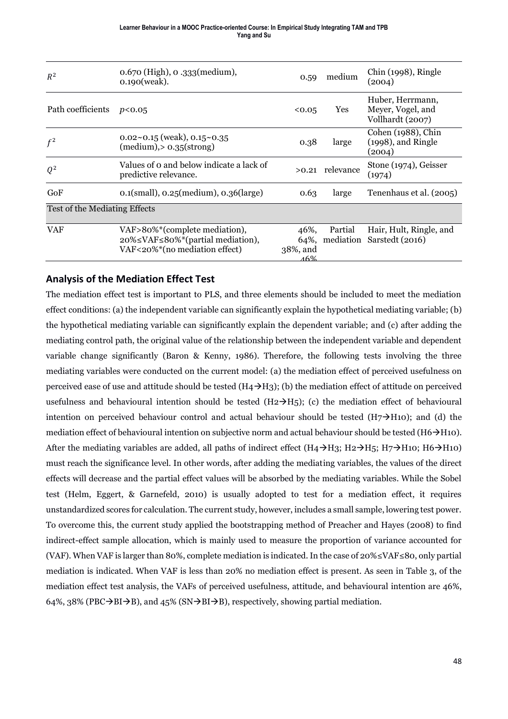| $R^2$                         | o.670 (High), o .333 (medium),<br>$0.190$ (weak).                                                  | 0.59                               | medium               | $Chin(1998)$ , Ringle<br>(2004)                           |
|-------------------------------|----------------------------------------------------------------------------------------------------|------------------------------------|----------------------|-----------------------------------------------------------|
| Path coefficients             | p <sub>0.05</sub>                                                                                  | 0.05                               | Yes                  | Huber, Herrmann,<br>Meyer, Vogel, and<br>Vollhardt (2007) |
| $f^2$                         | $0.02 \times 0.15$ (weak), $0.15 \times 0.35$<br>$(medium) > 0.35 \times (strong)$                 | 0.38                               | large                | Cohen (1988), Chin<br>$(1998)$ , and Ringle<br>(2004)     |
| $Q^2$                         | Values of o and below indicate a lack of<br>predictive relevance.                                  |                                    | >0.21 relevance      | Stone (1974), Geisser<br>(1974)                           |
| GoF                           | $o.1$ (small), $o.25$ (medium), $o.36$ (large)                                                     | 0.63                               | large                | Tenenhaus et al. (2005)                                   |
| Test of the Mediating Effects |                                                                                                    |                                    |                      |                                                           |
| VAF                           | VAF>80%*(complete mediation),<br>20%≤VAF≤80%*(partial mediation),<br>VAF<20%*(no mediation effect) | 46%,<br>64%,<br>38%, and<br>$16\%$ | Partial<br>mediation | Hair, Hult, Ringle, and<br>Sarstedt (2016)                |

#### **Analysis of the Mediation Effect Test**

The mediation effect test is important to PLS, and three elements should be included to meet the mediation effect conditions: (a) the independent variable can significantly explain the hypothetical mediating variable; (b) the hypothetical mediating variable can significantly explain the dependent variable; and (c) after adding the mediating control path, the original value of the relationship between the independent variable and dependent variable change significantly (Baron & Kenny, 1986). Therefore, the following tests involving the three mediating variables were conducted on the current model: (a) the mediation effect of perceived usefulness on perceived ease of use and attitude should be tested  $(H_4 \rightarrow H_3)$ ; (b) the mediation effect of attitude on perceived usefulness and behavioural intention should be tested  $(H_2 \rightarrow H_5)$ ; (c) the mediation effect of behavioural intention on perceived behaviour control and actual behaviour should be tested  $(H7\rightarrow H10)$ ; and (d) the mediation effect of behavioural intention on subjective norm and actual behaviour should be tested (H6 $\rightarrow$ H10). After the mediating variables are added, all paths of indirect effect (H4 $\rightarrow$ H<sub>3</sub>; H<sub>2</sub> $\rightarrow$ H<sub>5</sub>; H<sub>7</sub> $\rightarrow$ H<sub>10</sub>; H<sub>6</sub> $\rightarrow$ H<sub>10</sub>) must reach the significance level. In other words, after adding the mediating variables, the values of the direct effects will decrease and the partial effect values will be absorbed by the mediating variables. While the Sobel test (Helm, Eggert, & Garnefeld, 2010) is usually adopted to test for a mediation effect, it requires unstandardized scores for calculation. The current study, however, includes a small sample, lowering test power. To overcome this, the current study applied the bootstrapping method of Preacher and Hayes (2008) to find indirect-effect sample allocation, which is mainly used to measure the proportion of variance accounted for (VAF). When VAF is larger than 80%, complete mediation is indicated. In the case of 20%≤VAF≤80, only partial mediation is indicated. When VAF is less than 20% no mediation effect is present. As seen in Table 3, of the mediation effect test analysis, the VAFs of perceived usefulness, attitude, and behavioural intention are 46%, 64%, 38% (PBC $\rightarrow$ BI $\rightarrow$ B), and 45% (SN $\rightarrow$ BI $\rightarrow$ B), respectively, showing partial mediation.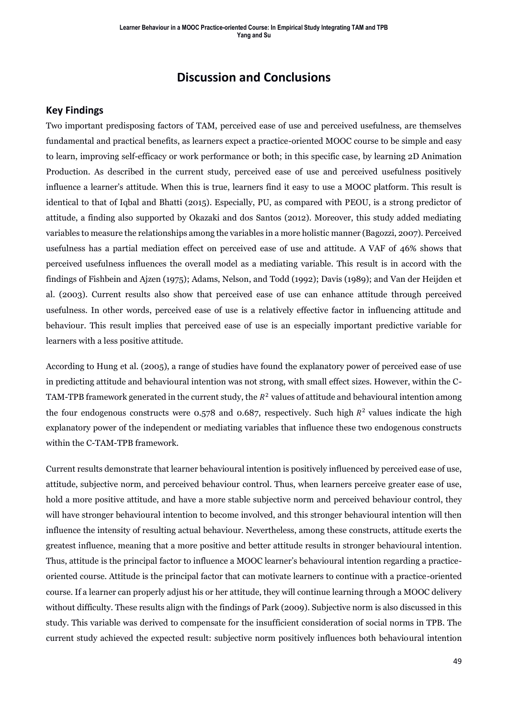# **Discussion and Conclusions**

#### **Key Findings**

Two important predisposing factors of TAM, perceived ease of use and perceived usefulness, are themselves fundamental and practical benefits, as learners expect a practice-oriented MOOC course to be simple and easy to learn, improving self-efficacy or work performance or both; in this specific case, by learning 2D Animation Production. As described in the current study, perceived ease of use and perceived usefulness positively influence a learner's attitude. When this is true, learners find it easy to use a MOOC platform. This result is identical to that of Iqbal and Bhatti (2015). Especially, PU, as compared with PEOU, is a strong predictor of attitude, a finding also supported by Okazaki and dos Santos (2012). Moreover, this study added mediating variables to measure the relationships among the variables in a more holistic manner (Bagozzi, 2007). Perceived usefulness has a partial mediation effect on perceived ease of use and attitude. A VAF of 46% shows that perceived usefulness influences the overall model as a mediating variable. This result is in accord with the findings of Fishbein and Ajzen (1975); Adams, Nelson, and Todd (1992); Davis (1989); and Van der Heijden et al. (2003). Current results also show that perceived ease of use can enhance attitude through perceived usefulness. In other words, perceived ease of use is a relatively effective factor in influencing attitude and behaviour. This result implies that perceived ease of use is an especially important predictive variable for learners with a less positive attitude.

According to Hung et al. (2005), a range of studies have found the explanatory power of perceived ease of use in predicting attitude and behavioural intention was not strong, with small effect sizes. However, within the C-TAM-TPB framework generated in the current study, the  $R^2$  values of attitude and behavioural intention among the four endogenous constructs were  $0.578$  and  $0.687$ , respectively. Such high  $R<sup>2</sup>$  values indicate the high explanatory power of the independent or mediating variables that influence these two endogenous constructs within the C-TAM-TPB framework.

Current results demonstrate that learner behavioural intention is positively influenced by perceived ease of use, attitude, subjective norm, and perceived behaviour control. Thus, when learners perceive greater ease of use, hold a more positive attitude, and have a more stable subjective norm and perceived behaviour control, they will have stronger behavioural intention to become involved, and this stronger behavioural intention will then influence the intensity of resulting actual behaviour. Nevertheless, among these constructs, attitude exerts the greatest influence, meaning that a more positive and better attitude results in stronger behavioural intention. Thus, attitude is the principal factor to influence a MOOC learner's behavioural intention regarding a practiceoriented course. Attitude is the principal factor that can motivate learners to continue with a practice-oriented course. If a learner can properly adjust his or her attitude, they will continue learning through a MOOC delivery without difficulty. These results align with the findings of Park (2009). Subjective norm is also discussed in this study. This variable was derived to compensate for the insufficient consideration of social norms in TPB. The current study achieved the expected result: subjective norm positively influences both behavioural intention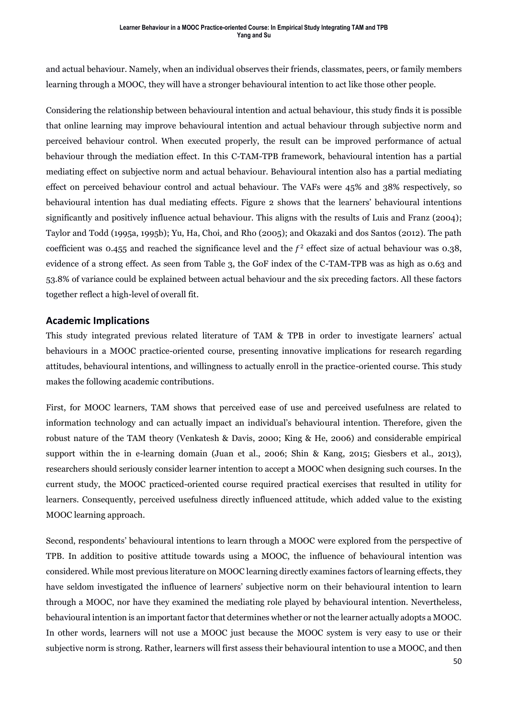and actual behaviour. Namely, when an individual observes their friends, classmates, peers, or family members learning through a MOOC, they will have a stronger behavioural intention to act like those other people.

Considering the relationship between behavioural intention and actual behaviour, this study finds it is possible that online learning may improve behavioural intention and actual behaviour through subjective norm and perceived behaviour control. When executed properly, the result can be improved performance of actual behaviour through the mediation effect. In this C-TAM-TPB framework, behavioural intention has a partial mediating effect on subjective norm and actual behaviour. Behavioural intention also has a partial mediating effect on perceived behaviour control and actual behaviour. The VAFs were 45% and 38% respectively, so behavioural intention has dual mediating effects. Figure 2 shows that the learners' behavioural intentions significantly and positively influence actual behaviour. This aligns with the results of Luis and Franz (2004); Taylor and Todd (1995a, 1995b); Yu, Ha, Choi, and Rho (2005); and Okazaki and dos Santos (2012). The path coefficient was 0.455 and reached the significance level and the  $f<sup>2</sup>$  effect size of actual behaviour was 0.38, evidence of a strong effect. As seen from Table 3, the GoF index of the C-TAM-TPB was as high as 0.63 and 53.8% of variance could be explained between actual behaviour and the six preceding factors. All these factors together reflect a high-level of overall fit.

#### **Academic Implications**

This study integrated previous related literature of TAM & TPB in order to investigate learners' actual behaviours in a MOOC practice-oriented course, presenting innovative implications for research regarding attitudes, behavioural intentions, and willingness to actually enroll in the practice-oriented course. This study makes the following academic contributions.

First, for MOOC learners, TAM shows that perceived ease of use and perceived usefulness are related to information technology and can actually impact an individual's behavioural intention. Therefore, given the robust nature of the TAM theory (Venkatesh & Davis, 2000; King & He, 2006) and considerable empirical support within the in e-learning domain (Juan et al., 2006; Shin & Kang, 2015; Giesbers et al., 2013), researchers should seriously consider learner intention to accept a MOOC when designing such courses. In the current study, the MOOC practiced-oriented course required practical exercises that resulted in utility for learners. Consequently, perceived usefulness directly influenced attitude, which added value to the existing MOOC learning approach.

Second, respondents' behavioural intentions to learn through a MOOC were explored from the perspective of TPB. In addition to positive attitude towards using a MOOC, the influence of behavioural intention was considered. While most previous literature on MOOC learning directly examines factors of learning effects, they have seldom investigated the influence of learners' subjective norm on their behavioural intention to learn through a MOOC, nor have they examined the mediating role played by behavioural intention. Nevertheless, behavioural intention is an important factor that determines whether or not the learner actually adopts a MOOC. In other words, learners will not use a MOOC just because the MOOC system is very easy to use or their subjective norm is strong. Rather, learners will first assess their behavioural intention to use a MOOC, and then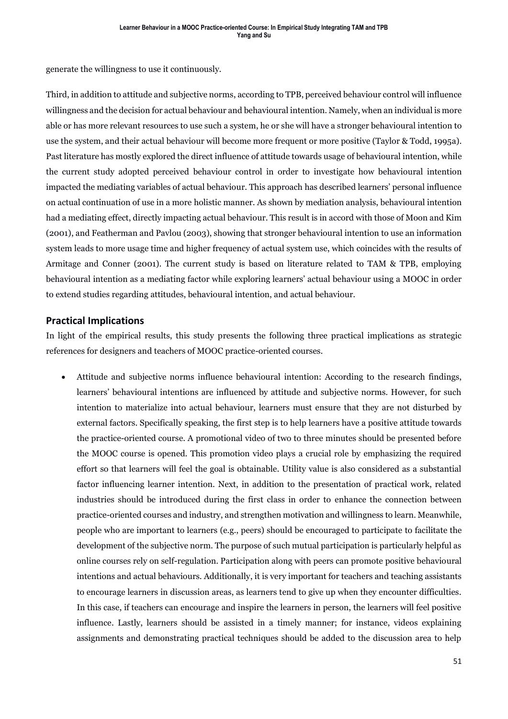generate the willingness to use it continuously.

Third, in addition to attitude and subjective norms, according to TPB, perceived behaviour control will influence willingness and the decision for actual behaviour and behavioural intention. Namely, when an individual is more able or has more relevant resources to use such a system, he or she will have a stronger behavioural intention to use the system, and their actual behaviour will become more frequent or more positive (Taylor & Todd, 1995a). Past literature has mostly explored the direct influence of attitude towards usage of behavioural intention, while the current study adopted perceived behaviour control in order to investigate how behavioural intention impacted the mediating variables of actual behaviour. This approach has described learners' personal influence on actual continuation of use in a more holistic manner. As shown by mediation analysis, behavioural intention had a mediating effect, directly impacting actual behaviour. This result is in accord with those of Moon and Kim (2001), and Featherman and Pavlou (2003), showing that stronger behavioural intention to use an information system leads to more usage time and higher frequency of actual system use, which coincides with the results of Armitage and Conner (2001). The current study is based on literature related to TAM & TPB, employing behavioural intention as a mediating factor while exploring learners' actual behaviour using a MOOC in order to extend studies regarding attitudes, behavioural intention, and actual behaviour.

#### **Practical Implications**

In light of the empirical results, this study presents the following three practical implications as strategic references for designers and teachers of MOOC practice-oriented courses.

 Attitude and subjective norms influence behavioural intention: According to the research findings, learners' behavioural intentions are influenced by attitude and subjective norms. However, for such intention to materialize into actual behaviour, learners must ensure that they are not disturbed by external factors. Specifically speaking, the first step is to help learners have a positive attitude towards the practice-oriented course. A promotional video of two to three minutes should be presented before the MOOC course is opened. This promotion video plays a crucial role by emphasizing the required effort so that learners will feel the goal is obtainable. Utility value is also considered as a substantial factor influencing learner intention. Next, in addition to the presentation of practical work, related industries should be introduced during the first class in order to enhance the connection between practice-oriented courses and industry, and strengthen motivation and willingness to learn. Meanwhile, people who are important to learners (e.g., peers) should be encouraged to participate to facilitate the development of the subjective norm. The purpose of such mutual participation is particularly helpful as online courses rely on self-regulation. Participation along with peers can promote positive behavioural intentions and actual behaviours. Additionally, it is very important for teachers and teaching assistants to encourage learners in discussion areas, as learners tend to give up when they encounter difficulties. In this case, if teachers can encourage and inspire the learners in person, the learners will feel positive influence. Lastly, learners should be assisted in a timely manner; for instance, videos explaining assignments and demonstrating practical techniques should be added to the discussion area to help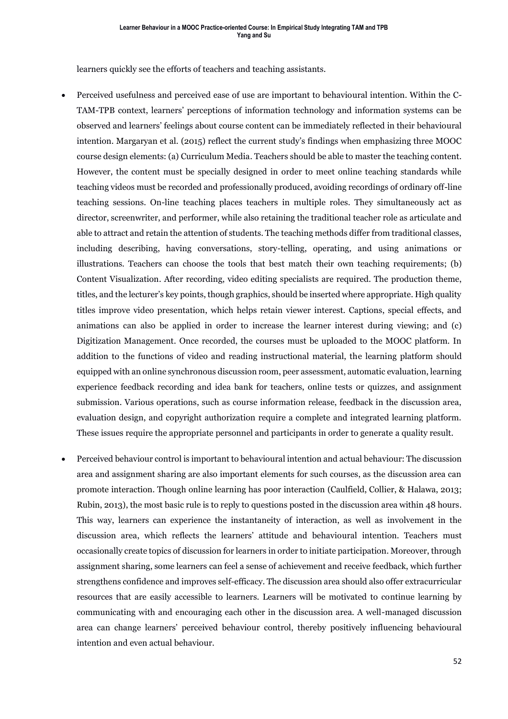learners quickly see the efforts of teachers and teaching assistants.

- Perceived usefulness and perceived ease of use are important to behavioural intention. Within the C-TAM-TPB context, learners' perceptions of information technology and information systems can be observed and learners' feelings about course content can be immediately reflected in their behavioural intention. Margaryan et al. (2015) reflect the current study's findings when emphasizing three MOOC course design elements: (a) Curriculum Media. Teachers should be able to master the teaching content. However, the content must be specially designed in order to meet online teaching standards while teaching videos must be recorded and professionally produced, avoiding recordings of ordinary off-line teaching sessions. On-line teaching places teachers in multiple roles. They simultaneously act as director, screenwriter, and performer, while also retaining the traditional teacher role as articulate and able to attract and retain the attention of students. The teaching methods differ from traditional classes, including describing, having conversations, story-telling, operating, and using animations or illustrations. Teachers can choose the tools that best match their own teaching requirements; (b) Content Visualization. After recording, video editing specialists are required. The production theme, titles, and the lecturer's key points, though graphics, should be inserted where appropriate. High quality titles improve video presentation, which helps retain viewer interest. Captions, special effects, and animations can also be applied in order to increase the learner interest during viewing; and (c) Digitization Management. Once recorded, the courses must be uploaded to the MOOC platform. In addition to the functions of video and reading instructional material, the learning platform should equipped with an online synchronous discussion room, peer assessment, automatic evaluation, learning experience feedback recording and idea bank for teachers, online tests or quizzes, and assignment submission. Various operations, such as course information release, feedback in the discussion area, evaluation design, and copyright authorization require a complete and integrated learning platform. These issues require the appropriate personnel and participants in order to generate a quality result.
- Perceived behaviour control is important to behavioural intention and actual behaviour: The discussion area and assignment sharing are also important elements for such courses, as the discussion area can promote interaction. Though online learning has poor interaction (Caulfield, Collier, & Halawa, 2013; Rubin, 2013), the most basic rule is to reply to questions posted in the discussion area within 48 hours. This way, learners can experience the instantaneity of interaction, as well as involvement in the discussion area, which reflects the learners' attitude and behavioural intention. Teachers must occasionally create topics of discussion for learners in order to initiate participation. Moreover, through assignment sharing, some learners can feel a sense of achievement and receive feedback, which further strengthens confidence and improves self-efficacy. The discussion area should also offer extracurricular resources that are easily accessible to learners. Learners will be motivated to continue learning by communicating with and encouraging each other in the discussion area. A well-managed discussion area can change learners' perceived behaviour control, thereby positively influencing behavioural intention and even actual behaviour.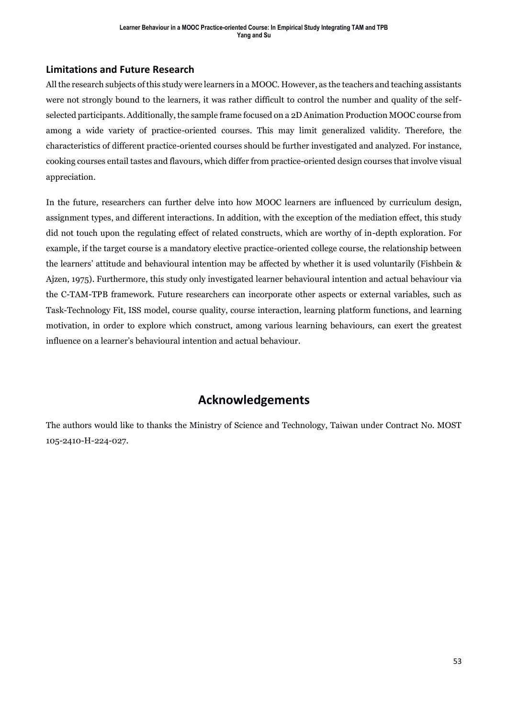#### **Limitations and Future Research**

All the research subjects of this study were learners in a MOOC. However, as the teachers and teaching assistants were not strongly bound to the learners, it was rather difficult to control the number and quality of the selfselected participants. Additionally, the sample frame focused on a 2D Animation Production MOOC course from among a wide variety of practice-oriented courses. This may limit generalized validity. Therefore, the characteristics of different practice-oriented courses should be further investigated and analyzed. For instance, cooking courses entail tastes and flavours, which differ from practice-oriented design courses that involve visual appreciation.

In the future, researchers can further delve into how MOOC learners are influenced by curriculum design, assignment types, and different interactions. In addition, with the exception of the mediation effect, this study did not touch upon the regulating effect of related constructs, which are worthy of in-depth exploration. For example, if the target course is a mandatory elective practice-oriented college course, the relationship between the learners' attitude and behavioural intention may be affected by whether it is used voluntarily (Fishbein & Ajzen, 1975). Furthermore, this study only investigated learner behavioural intention and actual behaviour via the C-TAM-TPB framework. Future researchers can incorporate other aspects or external variables, such as Task-Technology Fit, ISS model, course quality, course interaction, learning platform functions, and learning motivation, in order to explore which construct, among various learning behaviours, can exert the greatest influence on a learner's behavioural intention and actual behaviour.

# **Acknowledgements**

The authors would like to thanks the Ministry of Science and Technology, Taiwan under Contract No. MOST 105-2410-H-224-027.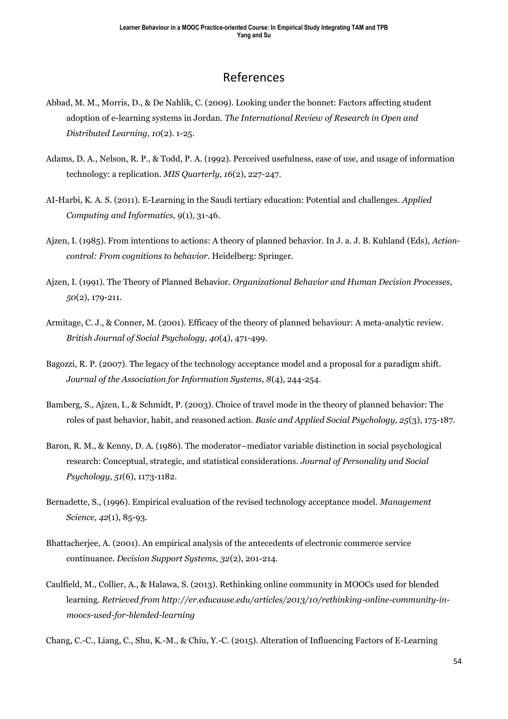# References

- Abbad, M. M., Morris, D., & De Nahlik, C. (2009). Looking under the bonnet: Factors affecting student adoption of e-learning systems in Jordan. *The International Review of Research in Open and Distributed Learning, 10*(2). 1-25.
- Adams, D. A., Nelson, R. P., & Todd, P. A. (1992). Perceived usefulness, ease of use, and usage of information technology: a replication. *MIS Quarterly, 16*(2), 227-247.
- AI-Harbi, K. A. S. (2011). E-Learning in the Saudi tertiary education: Potential and challenges. *Applied Computing and Informatics, 9*(1), 31-46.
- Ajzen, I. (1985). From intentions to actions: A theory of planned behavior. In J. a. J. B. Kuhland (Eds), *Actioncontrol: From cognitions to behavior*. Heidelberg: Springer.
- Ajzen, I. (1991). The Theory of Planned Behavior. *Organizational Behavior and Human Decision Processes, 50*(2), 179-211.
- Armitage, C. J., & Conner, M. (2001). Efficacy of the theory of planned behaviour: A meta-analytic review. *British Journal of Social Psychology, 40*(4), 471-499.
- Bagozzi, R. P. (2007). The legacy of the technology acceptance model and a proposal for a paradigm shift. *Journal of the Association for Information Systems, 8*(4), 244-254.
- Bamberg, S., Ajzen, I., & Schmidt, P. (2003). Choice of travel mode in the theory of planned behavior: The roles of past behavior, habit, and reasoned action. *Basic and Applied Social Psychology, 25*(3), 175-187.
- Baron, R. M., & Kenny, D. A. (1986). The moderator–mediator variable distinction in social psychological research: Conceptual, strategic, and statistical considerations. *Journal of Personality and Social Psychology, 51*(6), 1173-1182.
- Bernadette, S., (1996). Empirical evaluation of the revised technology acceptance model. *Management Science, 42*(1), 85-93.
- Bhattacherjee, A. (2001). An empirical analysis of the antecedents of electronic commerce service continuance. *Decision Support Systems, 32*(2), 201-214.
- Caulfield, M., Collier, A., & Halawa, S. (2013). Rethinking online community in MOOCs used for blended learning. *Retrieved from http://er.educause.edu/articles/2013/10/rethinking-online-community-inmoocs-used-for-blended-learning*
- Chang, C.-C., Liang, C., Shu, K.-M., & Chiu, Y.-C. (2015). Alteration of Influencing Factors of E-Learning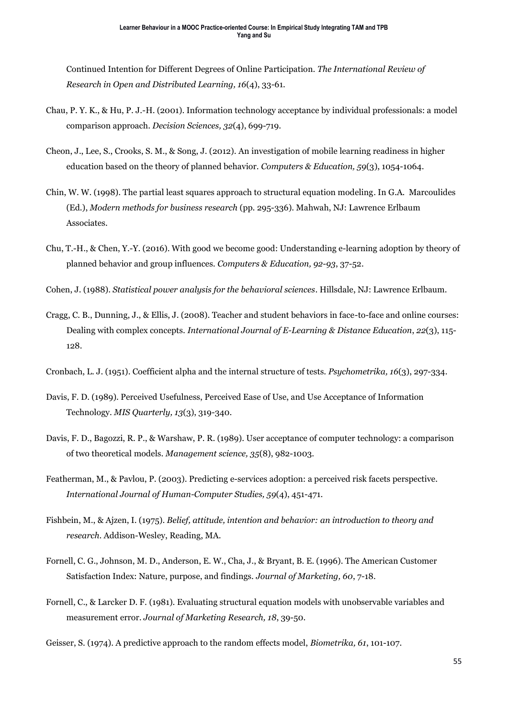Continued Intention for Different Degrees of Online Participation. *The International Review of Research in Open and Distributed Learning, 16*(4), 33-61.

- Chau, P. Y. K., & Hu, P. J.-H. (2001). Information technology acceptance by individual professionals: a model comparison approach. *Decision Sciences, 32*(4), 699-719.
- Cheon, J., Lee, S., Crooks, S. M., & Song, J. (2012). An investigation of mobile learning readiness in higher education based on the theory of planned behavior. *Computers & Education, 59*(3), 1054-1064.
- Chin, W. W. (1998). The partial least squares approach to structural equation modeling. In G.A. Marcoulides (Ed.), *Modern methods for business research* (pp. 295-336). Mahwah, NJ: Lawrence Erlbaum Associates.
- Chu, T.-H., & Chen, Y.-Y. (2016). With good we become good: Understanding e-learning adoption by theory of planned behavior and group influences. *Computers & Education, 92-93*, 37-52.
- Cohen, J. (1988). *Statistical power analysis for the behavioral sciences*. Hillsdale, NJ: Lawrence Erlbaum.
- Cragg, C. B., Dunning, J., & Ellis, J. (2008). Teacher and student behaviors in face-to-face and online courses: Dealing with complex concepts. *International Journal of E-Learning & Distance Education*, *22*(3), 115- 128.
- Cronbach, L. J. (1951). Coefficient alpha and the internal structure of tests. *Psychometrika, 16*(3), 297-334.
- Davis, F. D. (1989). Perceived Usefulness, Perceived Ease of Use, and Use Acceptance of Information Technology. *MIS Quarterly, 13*(3), 319-340.
- Davis, F. D., Bagozzi, R. P., & Warshaw, P. R. (1989). User acceptance of computer technology: a comparison of two theoretical models. *Management science, 35*(8), 982-1003.
- Featherman, M., & Pavlou, P. (2003). Predicting e-services adoption: a perceived risk facets perspective. *International Journal of Human-Computer Studies, 59*(4), 451-471.
- Fishbein, M., & Ajzen, I. (1975). *Belief, attitude, intention and behavior: an introduction to theory and research*. Addison-Wesley, Reading, MA.
- Fornell, C. G., Johnson, M. D., Anderson, E. W., Cha, J., & Bryant, B. E. (1996). The American Customer Satisfaction Index: Nature, purpose, and findings. *Journal of Marketing, 60*, 7-18.
- Fornell, C., & Larcker D. F. (1981). Evaluating structural equation models with unobservable variables and measurement error. *Journal of Marketing Research, 18*, 39-50.

Geisser, S. (1974). A predictive approach to the random effects model, *Biometrika, 61*, 101-107.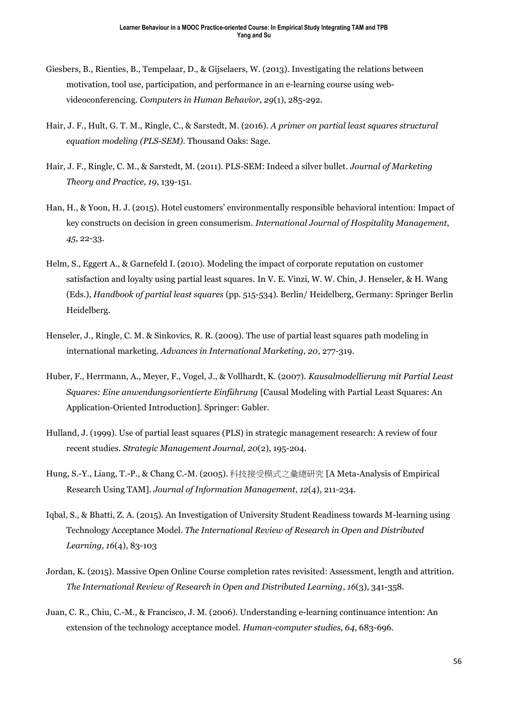- Giesbers, B., Rienties, B., Tempelaar, D., & Gijselaers, W. (2013). Investigating the relations between motivation, tool use, participation, and performance in an e-learning course using webvideoconferencing. *Computers in Human Behavior, 29*(1), 285-292.
- Hair, J. F., Hult, G. T. M., Ringle, C., & Sarstedt, M. (2016). *A primer on partial least squares structural equation modeling (PLS-SEM)*. Thousand Oaks: Sage.
- Hair, J. F., Ringle, C. M., & Sarstedt, M. (2011). PLS-SEM: Indeed a silver bullet. *Journal of Marketing Theory and Practice, 19*, 139-151.
- Han, H., & Yoon, H. J. (2015). Hotel customers' environmentally responsible behavioral intention: Impact of key constructs on decision in green consumerism. *International Journal of Hospitality Management, 45*, 22-33.
- Helm, S., Eggert A., & Garnefeld I. (2010). Modeling the impact of corporate reputation on customer satisfaction and loyalty using partial least squares. In V. E. Vinzi, W. W. Chin, J. Henseler, & H. Wang (Eds.), *Handbook of partial least squares* (pp. 515-534). Berlin/ Heidelberg, Germany: Springer Berlin Heidelberg.
- Henseler, J., Ringle, C. M. & Sinkovics, R. R. (2009). The use of partial least squares path modeling in international marketing. *Advances in International Marketing, 20*, 277-319.
- Huber, F., Herrmann, A., Meyer, F., Vogel, J., & Vollhardt, K. (2007). *Kausalmodellierung mit Partial Least Squares: Eine anwendungsorientierte Einführung* [Causal Modeling with Partial Least Squares: An Application-Oriented Introduction]. Springer: Gabler.
- Hulland, J. (1999). Use of partial least squares (PLS) in strategic management research: A review of four recent studies. *Strategic Management Journal, 20*(2), 195-204.
- Hung, S.-Y., Liang, T.-P., & Chang C.-M. (2005). 科技接受模式之彙總研究 [A Meta-Analysis of Empirical Research Using TAM]. *Journal of Information Management, 12*(4), 211-234.
- Iqbal, S., & Bhatti, Z. A. (2015). An Investigation of University Student Readiness towards M-learning using Technology Acceptance Model. *The International Review of Research in Open and Distributed Learning, 16*(4), 83-103
- Jordan, K. (2015). Massive Open Online Course completion rates revisited: Assessment, length and attrition. *The International Review of Research in Open and Distributed Learning, 16*(3), 341-358.
- Juan, C. R., Chiu, C.-M., & Francisco, J. M. (2006). Understanding e-learning continuance intention: An extension of the technology acceptance model. *Human-computer studies, 64*, 683-696.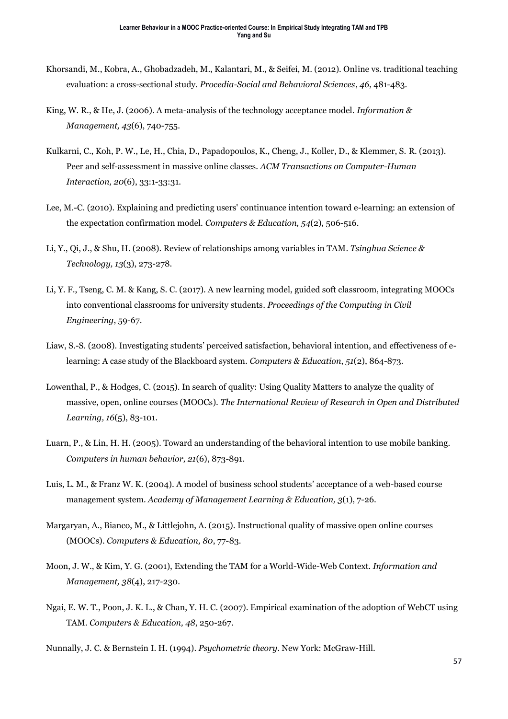- Khorsandi, M., Kobra, A., Ghobadzadeh, M., Kalantari, M., & Seifei, M. (2012). Online vs. traditional teaching evaluation: a cross-sectional study. *Procedia-Social and Behavioral Sciences*, *46*, 481-483.
- King, W. R., & He, J. (2006). A meta-analysis of the technology acceptance model. *Information & Management, 43*(6), 740-755.
- Kulkarni, C., Koh, P. W., Le, H., Chia, D., Papadopoulos, K., Cheng, J., Koller, D., & Klemmer, S. R. (2013). Peer and self-assessment in massive online classes. *ACM Transactions on Computer-Human Interaction, 20*(6), 33:1-33:31.
- Lee, M.-C. (2010). Explaining and predicting users' continuance intention toward e-learning: an extension of the expectation confirmation model. *Computers & Education, 54*(2), 506-516.
- Li, Y., Qi, J., & Shu, H. (2008). Review of relationships among variables in TAM. *Tsinghua Science & Technology, 13*(3), 273-278.
- Li, Y. F., Tseng, C. M. & Kang, S. C. (2017). A new learning model, guided soft classroom, integrating MOOCs into conventional classrooms for university students. *Proceedings of the Computing in Civil Engineering*, 59-67.
- Liaw, S.-S. (2008). Investigating students' perceived satisfaction, behavioral intention, and effectiveness of elearning: A case study of the Blackboard system. *Computers & Education*, *51*(2), 864-873.
- Lowenthal, P., & Hodges, C. (2015). In search of quality: Using Quality Matters to analyze the quality of massive, open, online courses (MOOCs). *The International Review of Research in Open and Distributed Learning, 16*(5), 83-101.
- Luarn, P., & Lin, H. H. (2005). Toward an understanding of the behavioral intention to use mobile banking. *Computers in human behavior, 21*(6), 873-891.
- Luis, L. M., & Franz W. K. (2004). A model of business school students' acceptance of a web-based course management system. *Academy of Management Learning & Education, 3*(1), 7-26.
- Margaryan, A., Bianco, M., & Littlejohn, A. (2015). Instructional quality of massive open online courses (MOOCs). *Computers & Education, 80*, 77-83.
- Moon, J. W., & Kim, Y. G. (2001), Extending the TAM for a World-Wide-Web Context. *Information and Management, 38*(4), 217-230.
- Ngai, E. W. T., Poon, J. K. L., & Chan, Y. H. C. (2007). Empirical examination of the adoption of WebCT using TAM. *Computers & Education, 48*, 250-267.

Nunnally, J. C. & Bernstein I. H. (1994). *Psychometric theory*. New York: McGraw-Hill.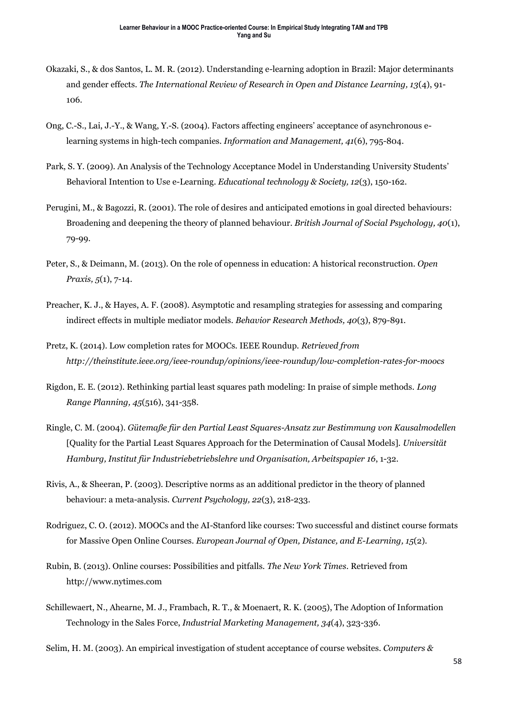- Okazaki, S., & dos Santos, L. M. R. (2012). Understanding e-learning adoption in Brazil: Major determinants and gender effects. *The International Review of Research in Open and Distance Learning, 13*(4), 91- 106.
- Ong, C.-S., Lai, J.-Y., & Wang, Y.-S. (2004). Factors affecting engineers' acceptance of asynchronous elearning systems in high-tech companies. *Information and Management, 41*(6), 795-804.
- Park, S. Y. (2009). An Analysis of the Technology Acceptance Model in Understanding University Students' Behavioral Intention to Use e-Learning. *Educational technology & Society, 12*(3), 150-162.
- Perugini, M., & Bagozzi, R. (2001). The role of desires and anticipated emotions in goal directed behaviours: Broadening and deepening the theory of planned behaviour. *British Journal of Social Psychology, 40*(1), 79-99.
- Peter, S., & Deimann, M. (2013). On the role of openness in education: A historical reconstruction. *Open Praxis, 5*(1), 7-14.
- Preacher, K. J., & Hayes, A. F. (2008). Asymptotic and resampling strategies for assessing and comparing indirect effects in multiple mediator models. *Behavior Research Methods, 40*(3), 879-891.
- Pretz, K. (2014). Low completion rates for MOOCs. IEEE Roundup. *Retrieved from http://theinstitute.ieee.org/ieee-roundup/opinions/ieee-roundup/low-completion-rates-for-moocs*
- Rigdon, E. E. (2012). Rethinking partial least squares path modeling: In praise of simple methods. *Long Range Planning, 45*(516), 341-358.
- Ringle, C. M. (2004). *Gütemaße für den Partial Least Squares-Ansatz zur Bestimmung von Kausalmodellen* [Quality for the Partial Least Squares Approach for the Determination of Causal Models]. *Universität Hamburg, Institut für Industriebetriebslehre und Organisation, Arbeitspapier 16*, 1-32.
- Rivis, A., & Sheeran, P. (2003). Descriptive norms as an additional predictor in the theory of planned behaviour: a meta-analysis. *Current Psychology, 22*(3), 218-233.
- Rodriguez, C. O. (2012). MOOCs and the AI-Stanford like courses: Two successful and distinct course formats for Massive Open Online Courses. *European Journal of Open, Distance, and E-Learning, 15*(2).
- Rubin, B. (2013). Online courses: Possibilities and pitfalls. *The New York Times*. Retrieved from http://www.nytimes.com
- Schillewaert, N., Ahearne, M. J., Frambach, R. T., & Moenaert, R. K. (2005), The Adoption of Information Technology in the Sales Force, *Industrial Marketing Management, 34*(4), 323-336.

Selim, H. M. (2003). An empirical investigation of student acceptance of course websites. *Computers &*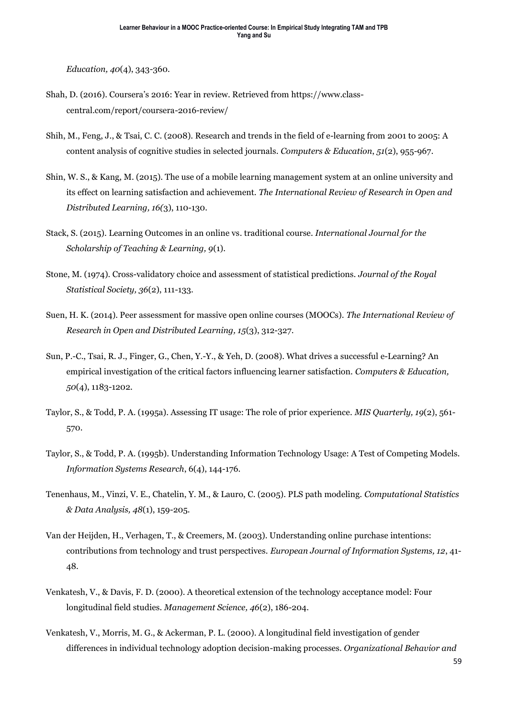*Education, 40*(4), 343-360.

- Shah, D. (2016). Coursera's 2016: Year in review. Retrieved from https://www.classcentral.com/report/coursera-2016-review/
- Shih, M., Feng, J., & Tsai, C. C. (2008). Research and trends in the field of e-learning from 2001 to 2005: A content analysis of cognitive studies in selected journals. *Computers & Education*, *51*(2), 955-967.
- Shin, W. S., & Kang, M. (2015). The use of a mobile learning management system at an online university and its effect on learning satisfaction and achievement. *The International Review of Research in Open and Distributed Learning, 16(*3), 110-130.
- Stack, S. (2015). Learning Outcomes in an online vs. traditional course. *International Journal for the Scholarship of Teaching & Learning, 9*(1).
- Stone, M. (1974). Cross-validatory choice and assessment of statistical predictions. *Journal of the Royal Statistical Society, 36*(2), 111-133.
- Suen, H. K. (2014). Peer assessment for massive open online courses (MOOCs). *The International Review of Research in Open and Distributed Learning, 15*(3), 312-327.
- Sun, P.-C., Tsai, R. J., Finger, G., Chen, Y.-Y., & Yeh, D. (2008). What drives a successful e-Learning? An empirical investigation of the critical factors influencing learner satisfaction. *Computers & Education, 50*(4), 1183-1202.
- Taylor, S., & Todd, P. A. (1995a). Assessing IT usage: The role of prior experience. *MIS Quarterly, 19*(2), 561- 570.
- Taylor, S., & Todd, P. A. (1995b). Understanding Information Technology Usage: A Test of Competing Models. *Information Systems Research*, 6(4), 144-176.
- Tenenhaus, M., Vinzi, V. E., Chatelin, Y. M., & Lauro, C. (2005). PLS path modeling. *Computational Statistics & Data Analysis, 48*(1), 159-205.
- Van der Heijden, H., Verhagen, T., & Creemers, M. (2003). Understanding online purchase intentions: contributions from technology and trust perspectives. *European Journal of Information Systems, 12*, 41- 48.
- Venkatesh, V., & Davis, F. D. (2000). A theoretical extension of the technology acceptance model: Four longitudinal field studies. *Management Science, 46*(2), 186-204.
- Venkatesh, V., Morris, M. G., & Ackerman, P. L. (2000). A longitudinal field investigation of gender differences in individual technology adoption decision-making processes. *Organizational Behavior and*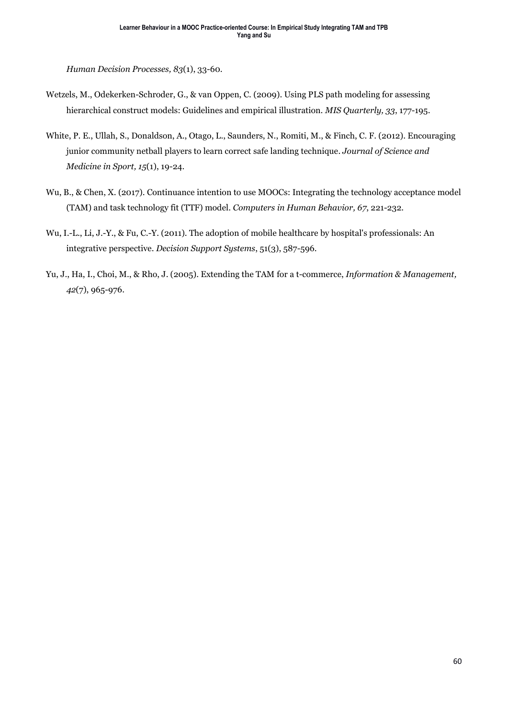*Human Decision Processes, 83*(1), 33-60.

- Wetzels, M., Odekerken-Schroder, G., & van Oppen, C. (2009). Using PLS path modeling for assessing hierarchical construct models: Guidelines and empirical illustration. *MIS Quarterly, 33*, 177-195.
- White, P. E., Ullah, S., Donaldson, A., Otago, L., Saunders, N., Romiti, M., & Finch, C. F. (2012). Encouraging junior community netball players to learn correct safe landing technique. *Journal of Science and Medicine in Sport, 15*(1), 19-24.
- Wu, B., & Chen, X. (2017). Continuance intention to use MOOCs: Integrating the technology acceptance model (TAM) and task technology fit (TTF) model. *Computers in Human Behavior, 67*, 221-232.
- Wu, I.-L., Li, J.-Y., & Fu, C.-Y. (2011). The adoption of mobile healthcare by hospital's professionals: An integrative perspective. *Decision Support Systems*, 51(3), 587-596.
- Yu, J., Ha, I., Choi, M., & Rho, J. (2005). Extending the TAM for a t-commerce, *Information & Management, 42*(7), 965-976.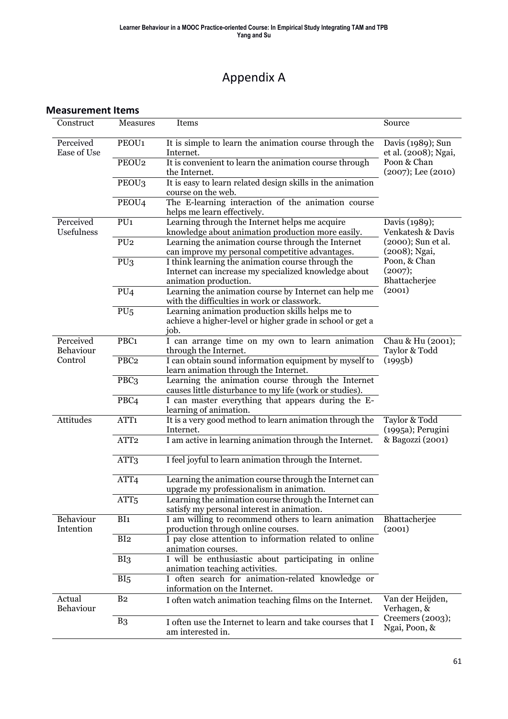# Appendix A

## **Measurement Items**

| Construct                     | Measures           | Items                                                                                                                              | Source                                   |
|-------------------------------|--------------------|------------------------------------------------------------------------------------------------------------------------------------|------------------------------------------|
| Perceived<br>Ease of Use      | PEOU1              | Davis (1989); Sun<br>et al. (2008); Ngai,                                                                                          |                                          |
|                               | PEOU <sub>2</sub>  | It is convenient to learn the animation course through<br>the Internet.                                                            | Poon & Chan<br>$(2007)$ ; Lee $(2010)$   |
|                               | PEOU3              | It is easy to learn related design skills in the animation<br>course on the web.                                                   |                                          |
|                               | PEOU <sub>4</sub>  | The E-learning interaction of the animation course<br>helps me learn effectively.                                                  |                                          |
| Perceived<br>Usefulness       | $\overline{PU1}$   | Learning through the Internet helps me acquire<br>knowledge about animation production more easily.                                | Davis (1989);<br>Venkatesh & Davis       |
|                               | PU <sub>2</sub>    | Learning the animation course through the Internet<br>can improve my personal competitive advantages.                              | (2000); Sun et al.<br>(2008); Ngai,      |
|                               | PU3                | I think learning the animation course through the<br>Internet can increase my specialized knowledge about<br>animation production. | Poon, & Chan<br>(2007);<br>Bhattacherjee |
|                               | PU4                | Learning the animation course by Internet can help me<br>with the difficulties in work or classwork.                               | (2001)                                   |
|                               | PU <sub>5</sub>    | Learning animation production skills helps me to<br>achieve a higher-level or higher grade in school or get a<br>job.              |                                          |
| Perceived<br>Behaviour        | PBC <sub>1</sub>   | I can arrange time on my own to learn animation<br>through the Internet.                                                           | Chau & Hu (2001);<br>Taylor & Todd       |
| Control                       | PBC <sub>2</sub>   | I can obtain sound information equipment by myself to<br>learn animation through the Internet.                                     | (1995b)                                  |
|                               | $\overline{P}BC_3$ | Learning the animation course through the Internet<br>causes little disturbance to my life (work or studies).                      |                                          |
|                               | PBC <sub>4</sub>   | I can master everything that appears during the E-<br>learning of animation.                                                       |                                          |
| Attitudes                     | ATT <sub>1</sub>   | It is a very good method to learn animation through the<br>Internet.                                                               | Taylor & Todd<br>$(1995a)$ ; Perugini    |
|                               | ATT <sub>2</sub>   | I am active in learning animation through the Internet.                                                                            | & Bagozzi (2001)                         |
|                               | ATT3               | I feel joyful to learn animation through the Internet.                                                                             |                                          |
|                               | ATT <sub>4</sub>   | Learning the animation course through the Internet can<br>upgrade my professionalism in animation.                                 |                                          |
|                               | ATT <sub>5</sub>   | Learning the animation course through the Internet can<br>satisfy my personal interest in animation.                               |                                          |
| <b>Behaviour</b><br>Intention | BI <sub>1</sub>    | I am willing to recommend others to learn animation<br>production through online courses.                                          | Bhattacherjee<br>(2001)                  |
|                               | BI2                | I pay close attention to information related to online<br>animation courses.                                                       |                                          |
|                               | BI3                | I will be enthusiastic about participating in online<br>animation teaching activities.                                             |                                          |
|                               | BI <sub>5</sub>    | I often search for animation-related knowledge or<br>information on the Internet.                                                  |                                          |
| Actual<br>Behaviour           | B <sub>2</sub>     | I often watch animation teaching films on the Internet.                                                                            | Van der Heijden,<br>Verhagen, &          |
|                               | B <sub>3</sub>     | I often use the Internet to learn and take courses that I<br>am interested in.                                                     | Creemers (2003);<br>Ngai, Poon, &        |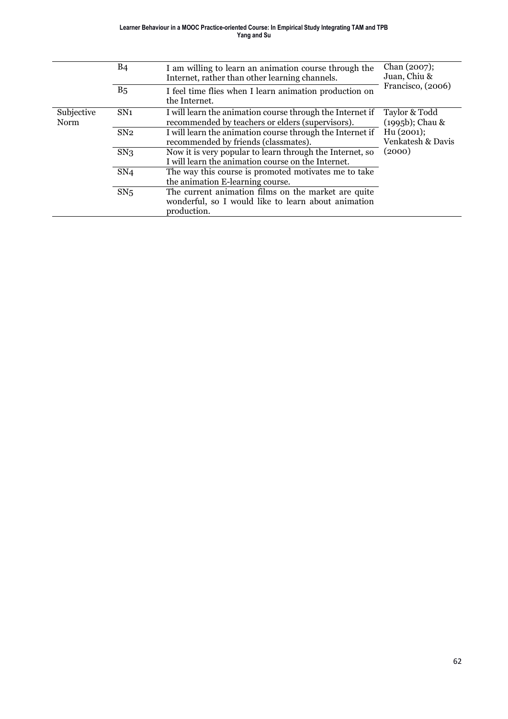#### **Learner Behaviour in a MOOC Practice-oriented Course: In Empirical Study Integrating TAM and TPB Yang and Su**

|                    | B <sub>4</sub>  | I am willing to learn an animation course through the<br>Internet, rather than other learning channels.                   | Chan (2007);<br>Juan, Chiu &     |  |  |
|--------------------|-----------------|---------------------------------------------------------------------------------------------------------------------------|----------------------------------|--|--|
|                    | B <sub>5</sub>  | I feel time flies when I learn animation production on<br>the Internet.                                                   | Francisco, (2006)                |  |  |
| Subjective<br>Norm | SN1             | I will learn the animation course through the Internet if<br>recommended by teachers or elders (supervisors).             | Taylor & Todd<br>(1995b); Chau & |  |  |
|                    | SN2             | I will learn the animation course through the Internet if<br>recommended by friends (classmates).                         | Hu (2001);<br>Venkatesh & Davis  |  |  |
|                    | SN3             | Now it is very popular to learn through the Internet, so<br>I will learn the animation course on the Internet.            | (2000)                           |  |  |
|                    | SN <sub>4</sub> | The way this course is promoted motivates me to take<br>the animation E-learning course.                                  |                                  |  |  |
|                    | SN <sub>5</sub> | The current animation films on the market are quite<br>wonderful, so I would like to learn about animation<br>production. |                                  |  |  |